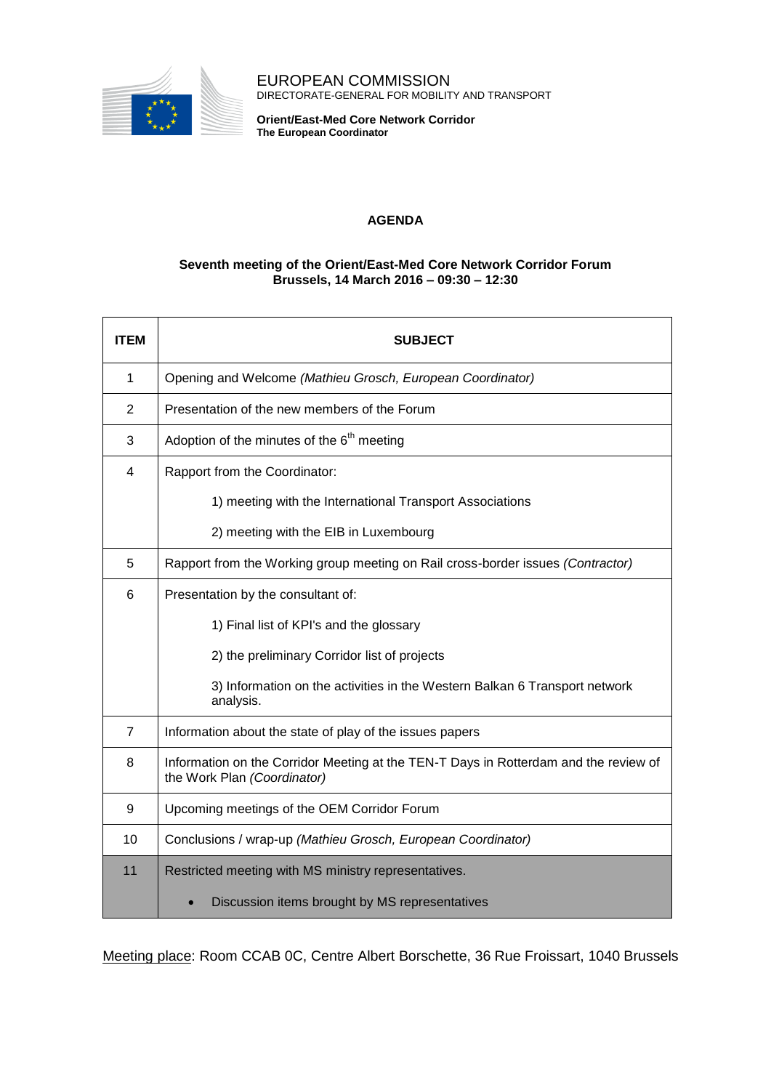

EUROPEAN COMMISSION DIRECTORATE-GENERAL FOR MOBILITY AND TRANSPORT

**Orient/East-Med Core Network Corridor The European Coordinator**

## **AGENDA**

## **Seventh meeting of the Orient/East-Med Core Network Corridor Forum Brussels, 14 March 2016 – 09:30 – 12:30**

| <b>ITEM</b>    | <b>SUBJECT</b>                                                                                                      |
|----------------|---------------------------------------------------------------------------------------------------------------------|
| $\mathbf{1}$   | Opening and Welcome (Mathieu Grosch, European Coordinator)                                                          |
| 2              | Presentation of the new members of the Forum                                                                        |
| 3              | Adoption of the minutes of the $6th$ meeting                                                                        |
| 4              | Rapport from the Coordinator:                                                                                       |
|                | 1) meeting with the International Transport Associations                                                            |
|                | 2) meeting with the EIB in Luxembourg                                                                               |
| 5              | Rapport from the Working group meeting on Rail cross-border issues (Contractor)                                     |
| 6              | Presentation by the consultant of:                                                                                  |
|                | 1) Final list of KPI's and the glossary                                                                             |
|                | 2) the preliminary Corridor list of projects                                                                        |
|                | 3) Information on the activities in the Western Balkan 6 Transport network<br>analysis.                             |
| $\overline{7}$ | Information about the state of play of the issues papers                                                            |
| 8              | Information on the Corridor Meeting at the TEN-T Days in Rotterdam and the review of<br>the Work Plan (Coordinator) |
| 9              | Upcoming meetings of the OEM Corridor Forum                                                                         |
| 10             | Conclusions / wrap-up (Mathieu Grosch, European Coordinator)                                                        |
| 11             | Restricted meeting with MS ministry representatives.                                                                |
|                | Discussion items brought by MS representatives                                                                      |

Meeting place: Room CCAB 0C, Centre Albert Borschette, 36 Rue Froissart, 1040 Brussels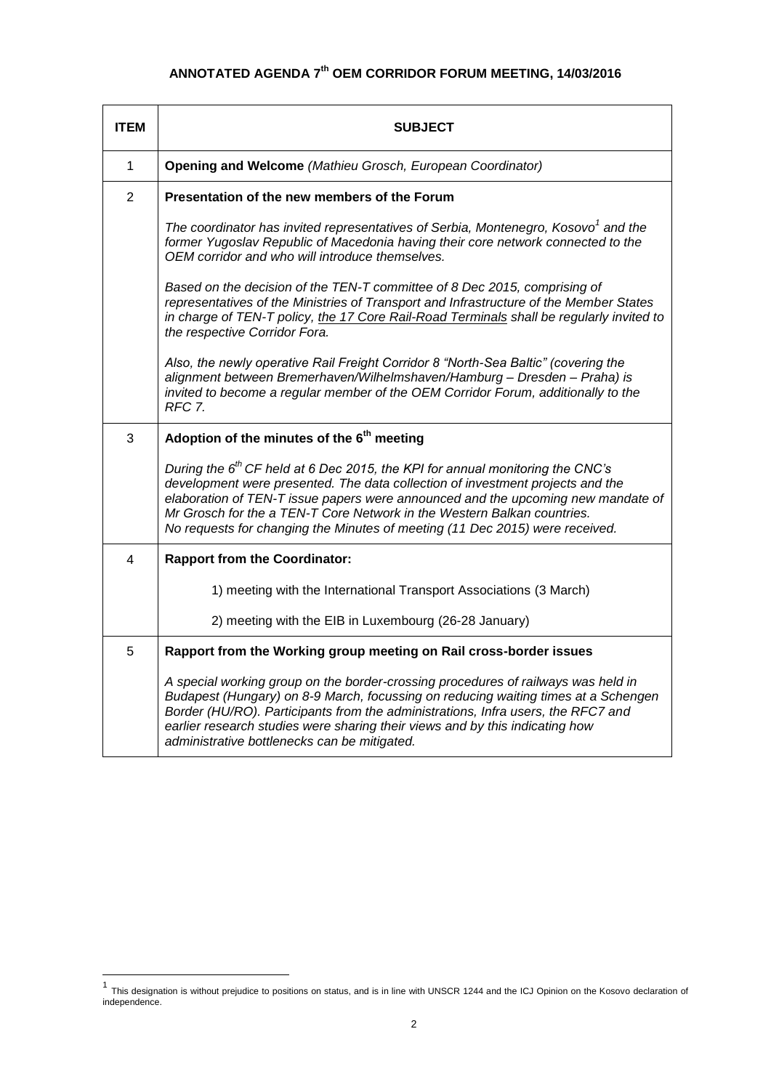## **ANNOTATED AGENDA 7 th OEM CORRIDOR FORUM MEETING, 14/03/2016**

| <b>ITEM</b>    | <b>SUBJECT</b>                                                                                                                                                                                                                                                                                                                                                                                                   |
|----------------|------------------------------------------------------------------------------------------------------------------------------------------------------------------------------------------------------------------------------------------------------------------------------------------------------------------------------------------------------------------------------------------------------------------|
| $\mathbf{1}$   | Opening and Welcome (Mathieu Grosch, European Coordinator)                                                                                                                                                                                                                                                                                                                                                       |
| $\overline{2}$ | Presentation of the new members of the Forum                                                                                                                                                                                                                                                                                                                                                                     |
|                | The coordinator has invited representatives of Serbia, Montenegro, Kosovo <sup>1</sup> and the<br>former Yugoslav Republic of Macedonia having their core network connected to the<br>OEM corridor and who will introduce themselves.                                                                                                                                                                            |
|                | Based on the decision of the TEN-T committee of 8 Dec 2015, comprising of<br>representatives of the Ministries of Transport and Infrastructure of the Member States<br>in charge of TEN-T policy, the 17 Core Rail-Road Terminals shall be regularly invited to<br>the respective Corridor Fora.                                                                                                                 |
|                | Also, the newly operative Rail Freight Corridor 8 "North-Sea Baltic" (covering the<br>alignment between Bremerhaven/Wilhelmshaven/Hamburg - Dresden - Praha) is<br>invited to become a regular member of the OEM Corridor Forum, additionally to the<br>RFC 7.                                                                                                                                                   |
| 3              | Adoption of the minutes of the 6 <sup>th</sup> meeting                                                                                                                                                                                                                                                                                                                                                           |
|                | During the $6th$ CF held at 6 Dec 2015, the KPI for annual monitoring the CNC's<br>development were presented. The data collection of investment projects and the<br>elaboration of TEN-T issue papers were announced and the upcoming new mandate of<br>Mr Grosch for the a TEN-T Core Network in the Western Balkan countries.<br>No requests for changing the Minutes of meeting (11 Dec 2015) were received. |
| 4              | <b>Rapport from the Coordinator:</b>                                                                                                                                                                                                                                                                                                                                                                             |
|                | 1) meeting with the International Transport Associations (3 March)                                                                                                                                                                                                                                                                                                                                               |
|                | 2) meeting with the EIB in Luxembourg (26-28 January)                                                                                                                                                                                                                                                                                                                                                            |
| 5              | Rapport from the Working group meeting on Rail cross-border issues                                                                                                                                                                                                                                                                                                                                               |
|                | A special working group on the border-crossing procedures of railways was held in<br>Budapest (Hungary) on 8-9 March, focussing on reducing waiting times at a Schengen<br>Border (HU/RO). Participants from the administrations, Infra users, the RFC7 and<br>earlier research studies were sharing their views and by this indicating how<br>administrative bottlenecks can be mitigated.                      |

 1 This designation is without prejudice to positions on status, and is in line with UNSCR 1244 and the ICJ Opinion on the Kosovo declaration of independence.